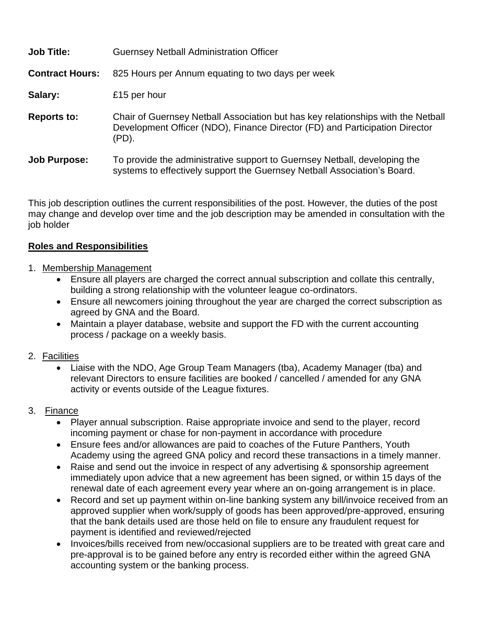| <b>Job Title:</b>      | <b>Guernsey Netball Administration Officer</b>                                                                                                                           |
|------------------------|--------------------------------------------------------------------------------------------------------------------------------------------------------------------------|
| <b>Contract Hours:</b> | 825 Hours per Annum equating to two days per week                                                                                                                        |
| Salary:                | £15 per hour                                                                                                                                                             |
| <b>Reports to:</b>     | Chair of Guernsey Netball Association but has key relationships with the Netball<br>Development Officer (NDO), Finance Director (FD) and Participation Director<br>(PD). |
| <b>Job Purpose:</b>    | To provide the administrative support to Guernsey Netball, developing the<br>systems to effectively support the Guernsey Netball Association's Board.                    |

This job description outlines the current responsibilities of the post. However, the duties of the post may change and develop over time and the job description may be amended in consultation with the job holder

#### **Roles and Responsibilities**

- 1. Membership Management
	- Ensure all players are charged the correct annual subscription and collate this centrally, building a strong relationship with the volunteer league co-ordinators.
	- Ensure all newcomers joining throughout the year are charged the correct subscription as agreed by GNA and the Board.
	- Maintain a player database, website and support the FD with the current accounting process / package on a weekly basis.

#### 2. Facilities

• Liaise with the NDO, Age Group Team Managers (tba), Academy Manager (tba) and relevant Directors to ensure facilities are booked / cancelled / amended for any GNA activity or events outside of the League fixtures.

## 3. Finance

- Player annual subscription. Raise appropriate invoice and send to the player, record incoming payment or chase for non-payment in accordance with procedure
- Ensure fees and/or allowances are paid to coaches of the Future Panthers, Youth Academy using the agreed GNA policy and record these transactions in a timely manner.
- Raise and send out the invoice in respect of any advertising & sponsorship agreement immediately upon advice that a new agreement has been signed, or within 15 days of the renewal date of each agreement every year where an on-going arrangement is in place.
- Record and set up payment within on-line banking system any bill/invoice received from an approved supplier when work/supply of goods has been approved/pre-approved, ensuring that the bank details used are those held on file to ensure any fraudulent request for payment is identified and reviewed/rejected
- Invoices/bills received from new/occasional suppliers are to be treated with great care and pre-approval is to be gained before any entry is recorded either within the agreed GNA accounting system or the banking process.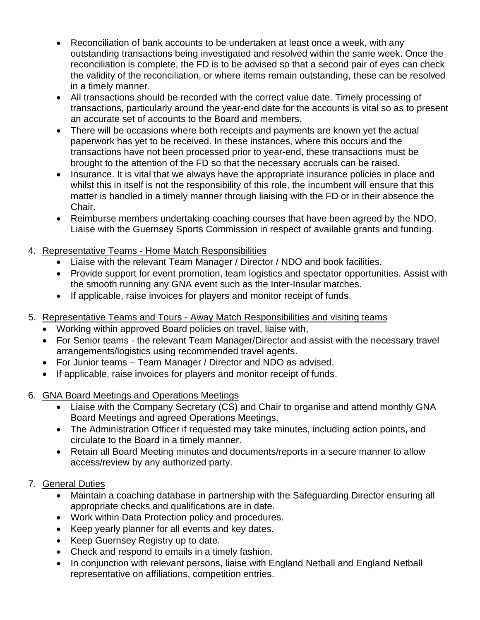- Reconciliation of bank accounts to be undertaken at least once a week, with any outstanding transactions being investigated and resolved within the same week. Once the reconciliation is complete, the FD is to be advised so that a second pair of eyes can check the validity of the reconciliation, or where items remain outstanding, these can be resolved in a timely manner.
- All transactions should be recorded with the correct value date. Timely processing of transactions, particularly around the year-end date for the accounts is vital so as to present an accurate set of accounts to the Board and members.
- There will be occasions where both receipts and payments are known yet the actual paperwork has yet to be received. In these instances, where this occurs and the transactions have not been processed prior to year-end, these transactions must be brought to the attention of the FD so that the necessary accruals can be raised.
- Insurance. It is vital that we always have the appropriate insurance policies in place and whilst this in itself is not the responsibility of this role, the incumbent will ensure that this matter is handled in a timely manner through liaising with the FD or in their absence the Chair.
- Reimburse members undertaking coaching courses that have been agreed by the NDO. Liaise with the Guernsey Sports Commission in respect of available grants and funding.

# 4. Representative Teams - Home Match Responsibilities

- Liaise with the relevant Team Manager / Director / NDO and book facilities.
- Provide support for event promotion, team logistics and spectator opportunities. Assist with the smooth running any GNA event such as the Inter-Insular matches.
- If applicable, raise invoices for players and monitor receipt of funds.
- 5. Representative Teams and Tours Away Match Responsibilities and visiting teams
	- Working within approved Board policies on travel, liaise with,
	- For Senior teams the relevant Team Manager/Director and assist with the necessary travel arrangements/logistics using recommended travel agents.
	- For Junior teams Team Manager / Director and NDO as advised.
	- If applicable, raise invoices for players and monitor receipt of funds.
- 6. GNA Board Meetings and Operations Meetings
	- Liaise with the Company Secretary (CS) and Chair to organise and attend monthly GNA Board Meetings and agreed Operations Meetings.
	- The Administration Officer if requested may take minutes, including action points, and circulate to the Board in a timely manner.
	- Retain all Board Meeting minutes and documents/reports in a secure manner to allow access/review by any authorized party.

## 7. General Duties

- Maintain a coaching database in partnership with the Safeguarding Director ensuring all appropriate checks and qualifications are in date.
- Work within Data Protection policy and procedures.
- Keep yearly planner for all events and key dates.
- Keep Guernsey Registry up to date.
- Check and respond to emails in a timely fashion.
- In conjunction with relevant persons, liaise with England Netball and England Netball representative on affiliations, competition entries.